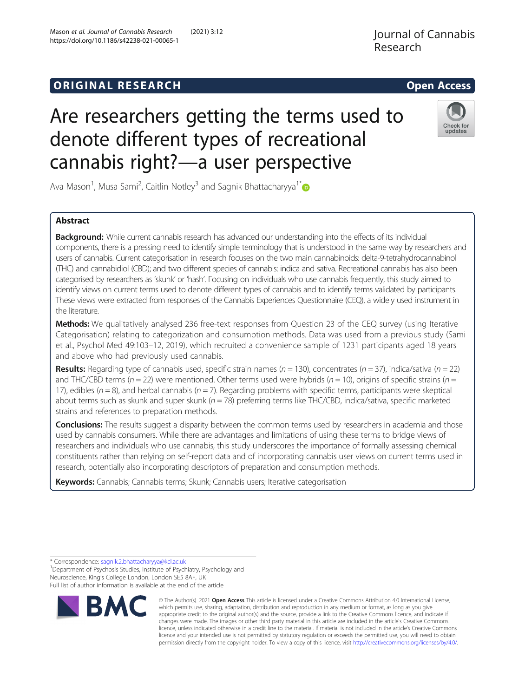# **ORIGINAL RESEARCH CONSERVERS AND ACCESS**

# Are researchers getting the terms used to denote different types of recreational cannabis right?—a user perspective

Ava Mason<sup>1</sup>, Musa Sami<sup>2</sup>, Caitlin Notley<sup>3</sup> and Sagnik Bhattacharyya<sup>1\*</sup>

**Background:** While current cannabis research has advanced our understanding into the effects of its individual components, there is a pressing need to identify simple terminology that is understood in the same way by researchers and users of cannabis. Current categorisation in research focuses on the two main cannabinoids: delta-9-tetrahydrocannabinol (THC) and cannabidiol (CBD); and two different species of cannabis: indica and sativa. Recreational cannabis has also been categorised by researchers as 'skunk' or 'hash'. Focusing on individuals who use cannabis frequently, this study aimed to identify views on current terms used to denote different types of cannabis and to identify terms validated by participants. These views were extracted from responses of the Cannabis Experiences Questionnaire (CEQ), a widely used instrument in the literature.

Methods: We qualitatively analysed 236 free-text responses from Question 23 of the CEQ survey (using Iterative Categorisation) relating to categorization and consumption methods. Data was used from a previous study (Sami et al., Psychol Med 49:103–12, 2019), which recruited a convenience sample of 1231 participants aged 18 years and above who had previously used cannabis.

**Results:** Regarding type of cannabis used, specific strain names ( $n = 130$ ), concentrates ( $n = 37$ ), indica/sativa ( $n = 22$ ) and THC/CBD terms ( $n = 22$ ) were mentioned. Other terms used were hybrids ( $n = 10$ ), origins of specific strains ( $n = 10$ ) 17), edibles ( $n = 8$ ), and herbal cannabis ( $n = 7$ ). Regarding problems with specific terms, participants were skeptical about terms such as skunk and super skunk ( $n = 78$ ) preferring terms like THC/CBD, indica/sativa, specific marketed strains and references to preparation methods.

**Conclusions:** The results suggest a disparity between the common terms used by researchers in academia and those used by cannabis consumers. While there are advantages and limitations of using these terms to bridge views of researchers and individuals who use cannabis, this study underscores the importance of formally assessing chemical constituents rather than relying on self-report data and of incorporating cannabis user views on current terms used in research, potentially also incorporating descriptors of preparation and consumption methods.

Keywords: Cannabis; Cannabis terms; Skunk; Cannabis users; Iterative categorisation

\* Correspondence: [sagnik.2.bhattacharyya@kcl.ac.uk](mailto:sagnik.2.bhattacharyya@kcl.ac.uk) <sup>1</sup> <sup>1</sup> Department of Psychosis Studies, Institute of Psychiatry, Psychology and Neuroscience, King's College London, London SE5 8AF, UK Full list of author information is available at the end of the article

> © The Author(s). 2021 Open Access This article is licensed under a Creative Commons Attribution 4.0 International License, which permits use, sharing, adaptation, distribution and reproduction in any medium or format, as long as you give appropriate credit to the original author(s) and the source, provide a link to the Creative Commons licence, and indicate if changes were made. The images or other third party material in this article are included in the article's Creative Commons licence, unless indicated otherwise in a credit line to the material. If material is not included in the article's Creative Commons licence and your intended use is not permitted by statutory regulation or exceeds the permitted use, you will need to obtain permission directly from the copyright holder. To view a copy of this licence, visit [http://creativecommons.org/licenses/by/4.0/.](http://creativecommons.org/licenses/by/4.0/)

Abstract

Mason et al. Journal of Cannabis Research (2021) 3:12 https://doi.org/10.1186/s42238-021-00065-1



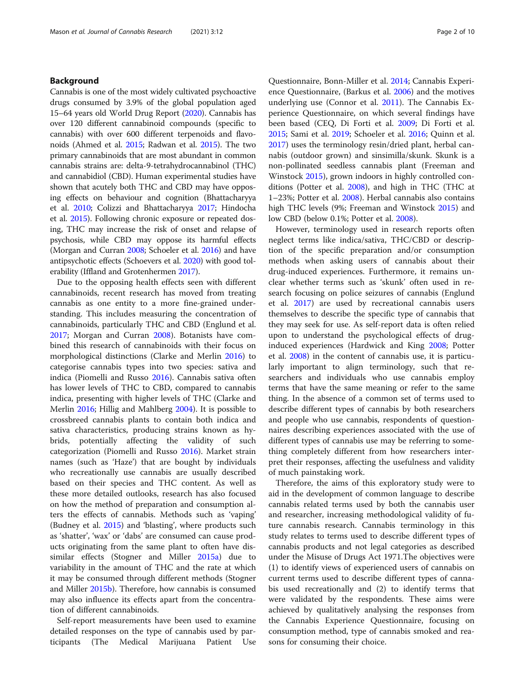# Background

Cannabis is one of the most widely cultivated psychoactive drugs consumed by 3.9% of the global population aged 15–64 years old World Drug Report ([2020\)](#page-9-0). Cannabis has over 120 different cannabinoid compounds (specific to cannabis) with over 600 different terpenoids and flavonoids (Ahmed et al. [2015;](#page-8-0) Radwan et al. [2015\)](#page-9-0). The two primary cannabinoids that are most abundant in common cannabis strains are: delta-9-tetrahydrocannabinol (THC) and cannabidiol (CBD). Human experimental studies have shown that acutely both THC and CBD may have opposing effects on behaviour and cognition (Bhattacharyya et al. [2010;](#page-8-0) Colizzi and Bhattacharyya [2017;](#page-8-0) Hindocha et al. [2015](#page-8-0)). Following chronic exposure or repeated dosing, THC may increase the risk of onset and relapse of psychosis, while CBD may oppose its harmful effects (Morgan and Curran [2008;](#page-9-0) Schoeler et al. [2016](#page-9-0)) and have antipsychotic effects (Schoevers et al. [2020](#page-9-0)) with good tolerability (Iffland and Grotenhermen [2017\)](#page-9-0).

Due to the opposing health effects seen with different cannabinoids, recent research has moved from treating cannabis as one entity to a more fine-grained understanding. This includes measuring the concentration of cannabinoids, particularly THC and CBD (Englund et al. [2017](#page-8-0); Morgan and Curran [2008\)](#page-9-0). Botanists have combined this research of cannabinoids with their focus on morphological distinctions (Clarke and Merlin [2016](#page-8-0)) to categorise cannabis types into two species: sativa and indica (Piomelli and Russo [2016](#page-9-0)). Cannabis sativa often has lower levels of THC to CBD, compared to cannabis indica, presenting with higher levels of THC (Clarke and Merlin [2016](#page-8-0); Hillig and Mahlberg [2004\)](#page-8-0). It is possible to crossbreed cannabis plants to contain both indica and sativa characteristics, producing strains known as hybrids, potentially affecting the validity of such categorization (Piomelli and Russo [2016\)](#page-9-0). Market strain names (such as 'Haze') that are bought by individuals who recreationally use cannabis are usually described based on their species and THC content. As well as these more detailed outlooks, research has also focused on how the method of preparation and consumption alters the effects of cannabis. Methods such as 'vaping' (Budney et al. [2015](#page-8-0)) and 'blasting', where products such as 'shatter', 'wax' or 'dabs' are consumed can cause products originating from the same plant to often have dissimilar effects (Stogner and Miller [2015a](#page-9-0)) due to variability in the amount of THC and the rate at which it may be consumed through different methods (Stogner and Miller [2015b](#page-9-0)). Therefore, how cannabis is consumed may also influence its effects apart from the concentration of different cannabinoids.

Self-report measurements have been used to examine detailed responses on the type of cannabis used by participants (The Medical Marijuana Patient Use

Questionnaire, Bonn-Miller et al. [2014](#page-8-0); Cannabis Experience Questionnaire, (Barkus et al. [2006](#page-8-0)) and the motives underlying use (Connor et al. [2011](#page-8-0)). The Cannabis Experience Questionnaire, on which several findings have been based (CEQ, Di Forti et al. [2009](#page-8-0); Di Forti et al. [2015](#page-8-0); Sami et al. [2019](#page-9-0); Schoeler et al. [2016](#page-9-0); Quinn et al. [2017](#page-9-0)) uses the terminology resin/dried plant, herbal cannabis (outdoor grown) and sinsimilla/skunk. Skunk is a non-pollinated seedless cannabis plant (Freeman and Winstock [2015](#page-8-0)), grown indoors in highly controlled conditions (Potter et al. [2008](#page-9-0)), and high in THC (THC at 1–23%; Potter et al. [2008\)](#page-9-0). Herbal cannabis also contains high THC levels (9%; Freeman and Winstock [2015\)](#page-8-0) and low CBD (below 0.1%; Potter et al. [2008\)](#page-9-0).

However, terminology used in research reports often neglect terms like indica/sativa, THC/CBD or description of the specific preparation and/or consumption methods when asking users of cannabis about their drug-induced experiences. Furthermore, it remains unclear whether terms such as 'skunk' often used in research focusing on police seizures of cannabis (Englund et al. [2017](#page-8-0)) are used by recreational cannabis users themselves to describe the specific type of cannabis that they may seek for use. As self-report data is often relied upon to understand the psychological effects of druginduced experiences (Hardwick and King [2008](#page-8-0); Potter et al. [2008](#page-9-0)) in the content of cannabis use, it is particularly important to align terminology, such that researchers and individuals who use cannabis employ terms that have the same meaning or refer to the same thing. In the absence of a common set of terms used to describe different types of cannabis by both researchers and people who use cannabis, respondents of questionnaires describing experiences associated with the use of different types of cannabis use may be referring to something completely different from how researchers interpret their responses, affecting the usefulness and validity of much painstaking work.

Therefore, the aims of this exploratory study were to aid in the development of common language to describe cannabis related terms used by both the cannabis user and researcher, increasing methodological validity of future cannabis research. Cannabis terminology in this study relates to terms used to describe different types of cannabis products and not legal categories as described under the Misuse of Drugs Act 1971.The objectives were (1) to identify views of experienced users of cannabis on current terms used to describe different types of cannabis used recreationally and (2) to identify terms that were validated by the respondents. These aims were achieved by qualitatively analysing the responses from the Cannabis Experience Questionnaire, focusing on consumption method, type of cannabis smoked and reasons for consuming their choice.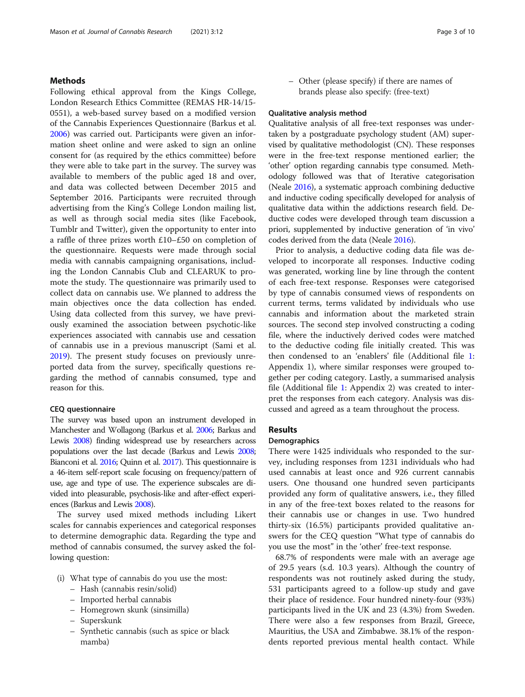# Methods

Following ethical approval from the Kings College, London Research Ethics Committee (REMAS HR-14/15- 0551), a web-based survey based on a modified version of the Cannabis Experiences Questionnaire (Barkus et al. [2006](#page-8-0)) was carried out. Participants were given an information sheet online and were asked to sign an online consent for (as required by the ethics committee) before they were able to take part in the survey. The survey was available to members of the public aged 18 and over, and data was collected between December 2015 and September 2016. Participants were recruited through advertising from the King's College London mailing list, as well as through social media sites (like Facebook, Tumblr and Twitter), given the opportunity to enter into a raffle of three prizes worth £10–£50 on completion of the questionnaire. Requests were made through social media with cannabis campaigning organisations, including the London Cannabis Club and CLEARUK to promote the study. The questionnaire was primarily used to collect data on cannabis use. We planned to address the main objectives once the data collection has ended. Using data collected from this survey, we have previously examined the association between psychotic-like experiences associated with cannabis use and cessation of cannabis use in a previous manuscript (Sami et al. [2019](#page-9-0)). The present study focuses on previously unreported data from the survey, specifically questions regarding the method of cannabis consumed, type and reason for this.

## CEQ questionnaire

The survey was based upon an instrument developed in Manchester and Wollagong (Barkus et al. [2006](#page-8-0); Barkus and Lewis [2008\)](#page-8-0) finding widespread use by researchers across populations over the last decade (Barkus and Lewis [2008](#page-8-0); Bianconi et al. [2016;](#page-8-0) Quinn et al. [2017](#page-9-0)). This questionnaire is a 46-item self-report scale focusing on frequency/pattern of use, age and type of use. The experience subscales are divided into pleasurable, psychosis-like and after-effect experiences (Barkus and Lewis [2008](#page-8-0)).

The survey used mixed methods including Likert scales for cannabis experiences and categorical responses to determine demographic data. Regarding the type and method of cannabis consumed, the survey asked the following question:

- (i) What type of cannabis do you use the most:
	- Hash (cannabis resin/solid)
	- Imported herbal cannabis
	- Homegrown skunk (sinsimilla)
	- Superskunk
	- Synthetic cannabis (such as spice or black mamba)

– Other (please specify) if there are names of brands please also specify: (free-text)

#### Qualitative analysis method

Qualitative analysis of all free-text responses was undertaken by a postgraduate psychology student (AM) supervised by qualitative methodologist (CN). These responses were in the free-text response mentioned earlier; the 'other' option regarding cannabis type consumed. Methodology followed was that of Iterative categorisation (Neale [2016](#page-9-0)), a systematic approach combining deductive and inductive coding specifically developed for analysis of qualitative data within the addictions research field. Deductive codes were developed through team discussion a priori, supplemented by inductive generation of 'in vivo' codes derived from the data (Neale [2016](#page-9-0)).

Prior to analysis, a deductive coding data file was developed to incorporate all responses. Inductive coding was generated, working line by line through the content of each free-text response. Responses were categorised by type of cannabis consumed views of respondents on current terms, terms validated by individuals who use cannabis and information about the marketed strain sources. The second step involved constructing a coding file, where the inductively derived codes were matched to the deductive coding file initially created. This was then condensed to an 'enablers' file (Additional file [1](#page-8-0): Appendix 1), where similar responses were grouped together per coding category. Lastly, a summarised analysis file (Additional file [1](#page-8-0): Appendix 2) was created to interpret the responses from each category. Analysis was discussed and agreed as a team throughout the process.

# Results

## **Demographics**

There were 1425 individuals who responded to the survey, including responses from 1231 individuals who had used cannabis at least once and 926 current cannabis users. One thousand one hundred seven participants provided any form of qualitative answers, i.e., they filled in any of the free-text boxes related to the reasons for their cannabis use or changes in use. Two hundred thirty-six (16.5%) participants provided qualitative answers for the CEQ question "What type of cannabis do you use the most" in the 'other' free-text response.

68.7% of respondents were male with an average age of 29.5 years (s.d. 10.3 years). Although the country of respondents was not routinely asked during the study, 531 participants agreed to a follow-up study and gave their place of residence. Four hundred ninety-four (93%) participants lived in the UK and 23 (4.3%) from Sweden. There were also a few responses from Brazil, Greece, Mauritius, the USA and Zimbabwe. 38.1% of the respondents reported previous mental health contact. While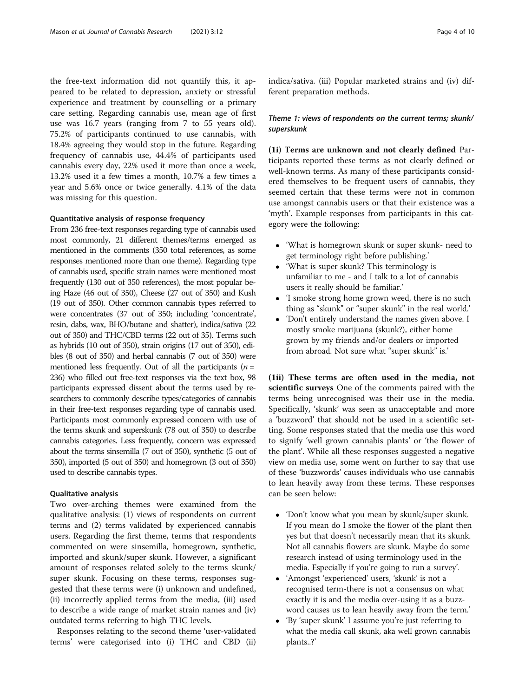the free-text information did not quantify this, it appeared to be related to depression, anxiety or stressful experience and treatment by counselling or a primary care setting. Regarding cannabis use, mean age of first use was 16.7 years (ranging from 7 to 55 years old). 75.2% of participants continued to use cannabis, with 18.4% agreeing they would stop in the future. Regarding frequency of cannabis use, 44.4% of participants used cannabis every day, 22% used it more than once a week, 13.2% used it a few times a month, 10.7% a few times a year and 5.6% once or twice generally. 4.1% of the data was missing for this question.

### Quantitative analysis of response frequency

From 236 free-text responses regarding type of cannabis used most commonly, 21 different themes/terms emerged as mentioned in the comments (350 total references, as some responses mentioned more than one theme). Regarding type of cannabis used, specific strain names were mentioned most frequently (130 out of 350 references), the most popular being Haze (46 out of 350), Cheese (27 out of 350) and Kush (19 out of 350). Other common cannabis types referred to were concentrates (37 out of 350; including 'concentrate', resin, dabs, wax, BHO/butane and shatter), indica/sativa (22 out of 350) and THC/CBD terms (22 out of 35). Terms such as hybrids (10 out of 350), strain origins (17 out of 350), edibles (8 out of 350) and herbal cannabis (7 out of 350) were mentioned less frequently. Out of all the participants ( $n =$ 236) who filled out free-text responses via the text box, 98 participants expressed dissent about the terms used by researchers to commonly describe types/categories of cannabis in their free-text responses regarding type of cannabis used. Participants most commonly expressed concern with use of the terms skunk and superskunk (78 out of 350) to describe cannabis categories. Less frequently, concern was expressed about the terms sinsemilla (7 out of 350), synthetic (5 out of 350), imported (5 out of 350) and homegrown (3 out of 350) used to describe cannabis types.

#### Qualitative analysis

Two over-arching themes were examined from the qualitative analysis: (1) views of respondents on current terms and (2) terms validated by experienced cannabis users. Regarding the first theme, terms that respondents commented on were sinsemilla, homegrown, synthetic, imported and skunk/super skunk. However, a significant amount of responses related solely to the terms skunk/ super skunk. Focusing on these terms, responses suggested that these terms were (i) unknown and undefined, (ii) incorrectly applied terms from the media, (iii) used to describe a wide range of market strain names and (iv) outdated terms referring to high THC levels.

Responses relating to the second theme 'user-validated terms' were categorised into (i) THC and CBD (ii) indica/sativa. (iii) Popular marketed strains and (iv) different preparation methods.

# Theme 1: views of respondents on the current terms; skunk/ superskunk

(1i) Terms are unknown and not clearly defined Participants reported these terms as not clearly defined or well-known terms. As many of these participants considered themselves to be frequent users of cannabis, they seemed certain that these terms were not in common use amongst cannabis users or that their existence was a 'myth'. Example responses from participants in this category were the following:

- 'What is homegrown skunk or super skunk- need to get terminology right before publishing.'
- 'What is super skunk? This terminology is unfamiliar to me - and I talk to a lot of cannabis users it really should be familiar.'
- 'I smoke strong home grown weed, there is no such thing as "skunk" or "super skunk" in the real world.'
- 'Don't entirely understand the names given above. I mostly smoke marijuana (skunk?), either home grown by my friends and/or dealers or imported from abroad. Not sure what "super skunk" is.'

(1ii) These terms are often used in the media, not scientific surveys One of the comments paired with the terms being unrecognised was their use in the media. Specifically, 'skunk' was seen as unacceptable and more a 'buzzword' that should not be used in a scientific setting. Some responses stated that the media use this word to signify 'well grown cannabis plants' or 'the flower of the plant'. While all these responses suggested a negative view on media use, some went on further to say that use of these 'buzzwords' causes individuals who use cannabis to lean heavily away from these terms. These responses can be seen below:

- 'Don't know what you mean by skunk/super skunk. If you mean do I smoke the flower of the plant then yes but that doesn't necessarily mean that its skunk. Not all cannabis flowers are skunk. Maybe do some research instead of using terminology used in the media. Especially if you're going to run a survey'.
- 'Amongst 'experienced' users, 'skunk' is not a recognised term-there is not a consensus on what exactly it is and the media over-using it as a buzzword causes us to lean heavily away from the term.'
- 'By 'super skunk' I assume you're just referring to what the media call skunk, aka well grown cannabis plants..?'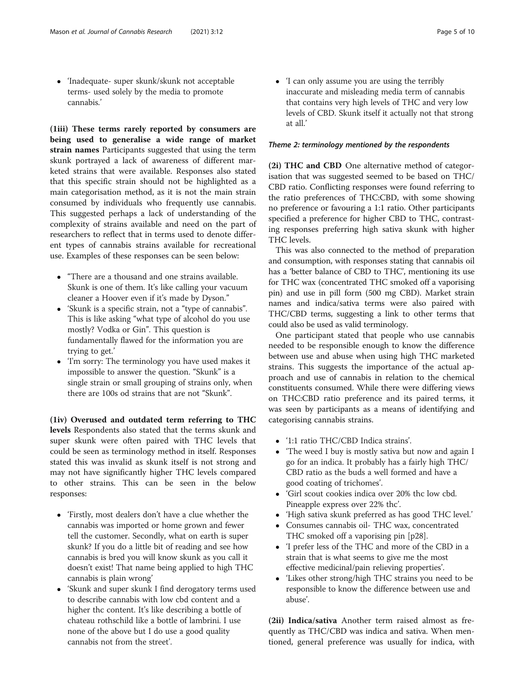'Inadequate- super skunk/skunk not acceptable terms- used solely by the media to promote cannabis.'

(1iii) These terms rarely reported by consumers are being used to generalise a wide range of market strain names Participants suggested that using the term skunk portrayed a lack of awareness of different marketed strains that were available. Responses also stated that this specific strain should not be highlighted as a main categorisation method, as it is not the main strain consumed by individuals who frequently use cannabis. This suggested perhaps a lack of understanding of the complexity of strains available and need on the part of researchers to reflect that in terms used to denote different types of cannabis strains available for recreational use. Examples of these responses can be seen below:

- "There are a thousand and one strains available. Skunk is one of them. It's like calling your vacuum cleaner a Hoover even if it's made by Dyson."
- 'Skunk is a specific strain, not a "type of cannabis". This is like asking "what type of alcohol do you use mostly? Vodka or Gin". This question is fundamentally flawed for the information you are trying to get.'
- 'I'm sorry: The terminology you have used makes it impossible to answer the question. "Skunk" is a single strain or small grouping of strains only, when there are 100s od strains that are not "Skunk".

(1iv) Overused and outdated term referring to THC levels Respondents also stated that the terms skunk and super skunk were often paired with THC levels that could be seen as terminology method in itself. Responses stated this was invalid as skunk itself is not strong and may not have significantly higher THC levels compared to other strains. This can be seen in the below responses:

- 'Firstly, most dealers don't have a clue whether the cannabis was imported or home grown and fewer tell the customer. Secondly, what on earth is super skunk? If you do a little bit of reading and see how cannabis is bred you will know skunk as you call it doesn't exist! That name being applied to high THC cannabis is plain wrong'
- 'Skunk and super skunk I find derogatory terms used to describe cannabis with low cbd content and a higher thc content. It's like describing a bottle of chateau rothschild like a bottle of lambrini. I use none of the above but I do use a good quality cannabis not from the street'.

 'I can only assume you are using the terribly inaccurate and misleading media term of cannabis that contains very high levels of THC and very low levels of CBD. Skunk itself it actually not that strong at all.'

# Theme 2: terminology mentioned by the respondents

(2i) THC and CBD One alternative method of categorisation that was suggested seemed to be based on THC/ CBD ratio. Conflicting responses were found referring to the ratio preferences of THC:CBD, with some showing no preference or favouring a 1:1 ratio. Other participants specified a preference for higher CBD to THC, contrasting responses preferring high sativa skunk with higher THC levels.

This was also connected to the method of preparation and consumption, with responses stating that cannabis oil has a 'better balance of CBD to THC', mentioning its use for THC wax (concentrated THC smoked off a vaporising pin) and use in pill form (500 mg CBD). Market strain names and indica/sativa terms were also paired with THC/CBD terms, suggesting a link to other terms that could also be used as valid terminology.

One participant stated that people who use cannabis needed to be responsible enough to know the difference between use and abuse when using high THC marketed strains. This suggests the importance of the actual approach and use of cannabis in relation to the chemical constituents consumed. While there were differing views on THC:CBD ratio preference and its paired terms, it was seen by participants as a means of identifying and categorising cannabis strains.

- '1:1 ratio THC/CBD Indica strains'.
- 'The weed I buy is mostly sativa but now and again I go for an indica. It probably has a fairly high THC/ CBD ratio as the buds a well formed and have a good coating of trichomes'.
- 'Girl scout cookies indica over 20% thc low cbd. Pineapple express over 22% thc'.
- 'High sativa skunk preferred as has good THC level.'
- Consumes cannabis oil- THC wax, concentrated THC smoked off a vaporising pin [p28].
- 'I prefer less of the THC and more of the CBD in a strain that is what seems to give me the most effective medicinal/pain relieving properties'.
- 'Likes other strong/high THC strains you need to be responsible to know the difference between use and abuse'.

(2ii) Indica/sativa Another term raised almost as frequently as THC/CBD was indica and sativa. When mentioned, general preference was usually for indica, with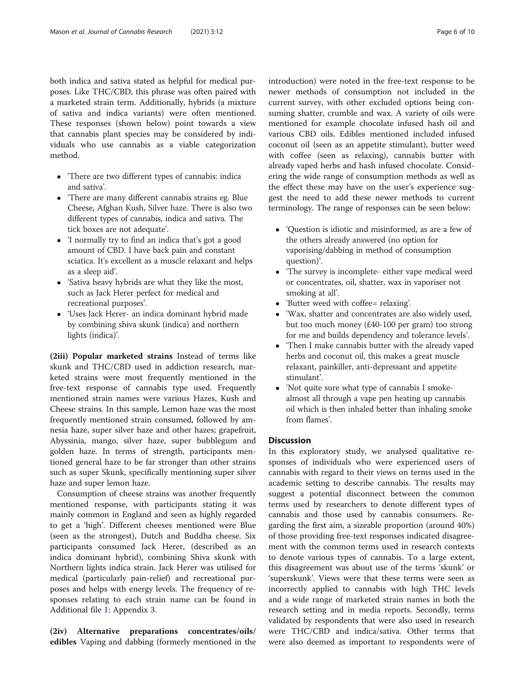both indica and sativa stated as helpful for medical purposes. Like THC/CBD, this phrase was often paired with a marketed strain term. Additionally, hybrids (a mixture of sativa and indica variants) were often mentioned. These responses (shown below) point towards a view that cannabis plant species may be considered by individuals who use cannabis as a viable categorization method.

- 'There are two different types of cannabis: indica and sativa'.
- 'There are many different cannabis strains eg. Blue Cheese, Afghan Kush, Silver haze. There is also two different types of cannabis, indica and sativa. The tick boxes are not adequate'.
- 'I normally try to find an indica that's got a good amount of CBD. I have back pain and constant sciatica. It's excellent as a muscle relaxant and helps as a sleep aid'.
- 'Sativa heavy hybrids are what they like the most, such as Jack Herer perfect for medical and recreational purposes'.
- 'Uses Jack Herer- an indica dominant hybrid made by combining shiva skunk (indica) and northern lights (indica)'.

(2iii) Popular marketed strains Instead of terms like skunk and THC/CBD used in addiction research, marketed strains were most frequently mentioned in the free-text response of cannabis type used. Frequently mentioned strain names were various Hazes, Kush and Cheese strains. In this sample, Lemon haze was the most frequently mentioned strain consumed, followed by amnesia haze, super silver haze and other hazes; grapefruit, Abyssinia, mango, silver haze, super bubblegum and golden haze. In terms of strength, participants mentioned general haze to be far stronger than other strains such as super Skunk, specifically mentioning super silver haze and super lemon haze.

Consumption of cheese strains was another frequently mentioned response, with participants stating it was mainly common in England and seen as highly regarded to get a 'high'. Different cheeses mentioned were Blue (seen as the strongest), Dutch and Buddha cheese. Six participants consumed Jack Herer, (described as an indica dominant hybrid), combining Shiva skunk with Northern lights indica strain. Jack Herer was utilised for medical (particularly pain-relief) and recreational purposes and helps with energy levels. The frequency of responses relating to each strain name can be found in Additional file [1](#page-8-0): Appendix 3.

(2iv) Alternative preparations concentrates/oils/ edibles Vaping and dabbing (formerly mentioned in the

introduction) were noted in the free-text response to be newer methods of consumption not included in the current survey, with other excluded options being consuming shatter, crumble and wax. A variety of oils were mentioned for example chocolate infused hash oil and various CBD oils. Edibles mentioned included infused coconut oil (seen as an appetite stimulant), butter weed with coffee (seen as relaxing), cannabis butter with already vaped herbs and hash infused chocolate. Considering the wide range of consumption methods as well as the effect these may have on the user's experience suggest the need to add these newer methods to current terminology. The range of responses can be seen below:

- 'Question is idiotic and misinformed, as are a few of the others already answered (no option for vaporising/dabbing in method of consumption question)'.
- 'The survey is incomplete- either vape medical weed or concentrates, oil, shatter, wax in vaporiser not smoking at all'.
- 'Butter weed with coffee= relaxing'.
- 'Wax, shatter and concentrates are also widely used, but too much money (£40-100 per gram) too strong for me and builds dependency and tolerance levels'.
- 'Then I make cannabis butter with the already vaped herbs and coconut oil, this makes a great muscle relaxant, painkiller, anti-depressant and appetite stimulant'.
- 'Not quite sure what type of cannabis I smokealmost all through a vape pen heating up cannabis oil which is then inhaled better than inhaling smoke from flames'.

# **Discussion**

In this exploratory study, we analysed qualitative responses of individuals who were experienced users of cannabis with regard to their views on terms used in the academic setting to describe cannabis. The results may suggest a potential disconnect between the common terms used by researchers to denote different types of cannabis and those used by cannabis consumers. Regarding the first aim, a sizeable proportion (around 40%) of those providing free-text responses indicated disagreement with the common terms used in research contexts to denote various types of cannabis. To a large extent, this disagreement was about use of the terms 'skunk' or 'superskunk'. Views were that these terms were seen as incorrectly applied to cannabis with high THC levels and a wide range of marketed strain names in both the research setting and in media reports. Secondly, terms validated by respondents that were also used in research were THC/CBD and indica/sativa. Other terms that were also deemed as important to respondents were of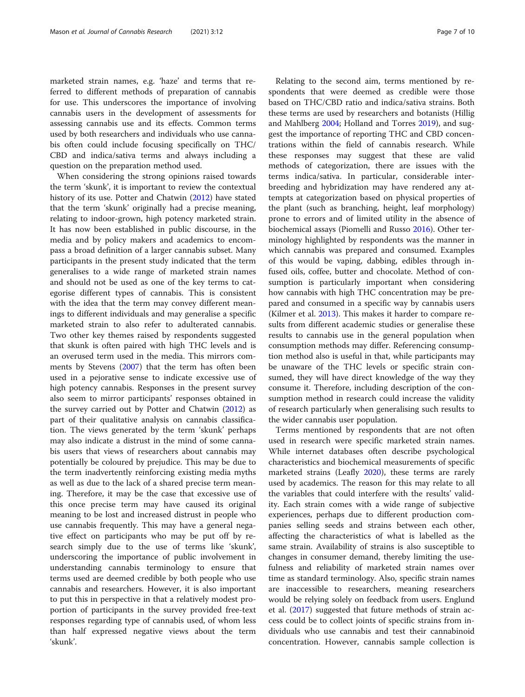marketed strain names, e.g. 'haze' and terms that referred to different methods of preparation of cannabis for use. This underscores the importance of involving cannabis users in the development of assessments for assessing cannabis use and its effects. Common terms used by both researchers and individuals who use cannabis often could include focusing specifically on THC/ CBD and indica/sativa terms and always including a question on the preparation method used.

When considering the strong opinions raised towards the term 'skunk', it is important to review the contextual history of its use. Potter and Chatwin [\(2012](#page-9-0)) have stated that the term 'skunk' originally had a precise meaning, relating to indoor-grown, high potency marketed strain. It has now been established in public discourse, in the media and by policy makers and academics to encompass a broad definition of a larger cannabis subset. Many participants in the present study indicated that the term generalises to a wide range of marketed strain names and should not be used as one of the key terms to categorise different types of cannabis. This is consistent with the idea that the term may convey different meanings to different individuals and may generalise a specific marketed strain to also refer to adulterated cannabis. Two other key themes raised by respondents suggested that skunk is often paired with high THC levels and is an overused term used in the media. This mirrors comments by Stevens ([2007](#page-9-0)) that the term has often been used in a pejorative sense to indicate excessive use of high potency cannabis. Responses in the present survey also seem to mirror participants' responses obtained in the survey carried out by Potter and Chatwin ([2012](#page-9-0)) as part of their qualitative analysis on cannabis classification. The views generated by the term 'skunk' perhaps may also indicate a distrust in the mind of some cannabis users that views of researchers about cannabis may potentially be coloured by prejudice. This may be due to the term inadvertently reinforcing existing media myths as well as due to the lack of a shared precise term meaning. Therefore, it may be the case that excessive use of this once precise term may have caused its original meaning to be lost and increased distrust in people who use cannabis frequently. This may have a general negative effect on participants who may be put off by research simply due to the use of terms like 'skunk', underscoring the importance of public involvement in understanding cannabis terminology to ensure that terms used are deemed credible by both people who use cannabis and researchers. However, it is also important to put this in perspective in that a relatively modest proportion of participants in the survey provided free-text responses regarding type of cannabis used, of whom less than half expressed negative views about the term 'skunk'.

Relating to the second aim, terms mentioned by respondents that were deemed as credible were those based on THC/CBD ratio and indica/sativa strains. Both these terms are used by researchers and botanists (Hillig and Mahlberg [2004](#page-8-0); Holland and Torres [2019\)](#page-8-0), and suggest the importance of reporting THC and CBD concentrations within the field of cannabis research. While these responses may suggest that these are valid methods of categorization, there are issues with the terms indica/sativa. In particular, considerable interbreeding and hybridization may have rendered any attempts at categorization based on physical properties of the plant (such as branching, height, leaf morphology) prone to errors and of limited utility in the absence of biochemical assays (Piomelli and Russo [2016](#page-9-0)). Other terminology highlighted by respondents was the manner in which cannabis was prepared and consumed. Examples of this would be vaping, dabbing, edibles through infused oils, coffee, butter and chocolate. Method of consumption is particularly important when considering how cannabis with high THC concentration may be prepared and consumed in a specific way by cannabis users (Kilmer et al. [2013\)](#page-9-0). This makes it harder to compare results from different academic studies or generalise these results to cannabis use in the general population when consumption methods may differ. Referencing consumption method also is useful in that, while participants may be unaware of the THC levels or specific strain consumed, they will have direct knowledge of the way they consume it. Therefore, including description of the consumption method in research could increase the validity of research particularly when generalising such results to the wider cannabis user population.

Terms mentioned by respondents that are not often used in research were specific marketed strain names. While internet databases often describe psychological characteristics and biochemical measurements of specific marketed strains (Leafly [2020\)](#page-9-0), these terms are rarely used by academics. The reason for this may relate to all the variables that could interfere with the results' validity. Each strain comes with a wide range of subjective experiences, perhaps due to different production companies selling seeds and strains between each other, affecting the characteristics of what is labelled as the same strain. Availability of strains is also susceptible to changes in consumer demand, thereby limiting the usefulness and reliability of marketed strain names over time as standard terminology. Also, specific strain names are inaccessible to researchers, meaning researchers would be relying solely on feedback from users. Englund et al. ([2017](#page-8-0)) suggested that future methods of strain access could be to collect joints of specific strains from individuals who use cannabis and test their cannabinoid concentration. However, cannabis sample collection is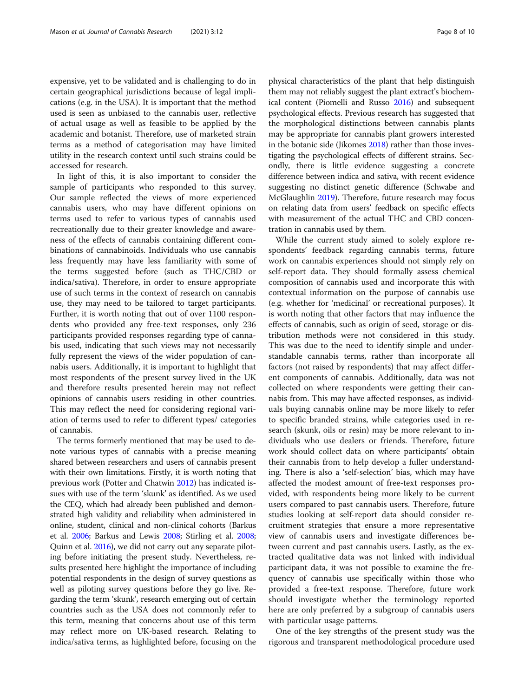expensive, yet to be validated and is challenging to do in certain geographical jurisdictions because of legal implications (e.g. in the USA). It is important that the method used is seen as unbiased to the cannabis user, reflective of actual usage as well as feasible to be applied by the academic and botanist. Therefore, use of marketed strain terms as a method of categorisation may have limited utility in the research context until such strains could be accessed for research.

In light of this, it is also important to consider the sample of participants who responded to this survey. Our sample reflected the views of more experienced cannabis users, who may have different opinions on terms used to refer to various types of cannabis used recreationally due to their greater knowledge and awareness of the effects of cannabis containing different combinations of cannabinoids. Individuals who use cannabis less frequently may have less familiarity with some of the terms suggested before (such as THC/CBD or indica/sativa). Therefore, in order to ensure appropriate use of such terms in the context of research on cannabis use, they may need to be tailored to target participants. Further, it is worth noting that out of over 1100 respondents who provided any free-text responses, only 236 participants provided responses regarding type of cannabis used, indicating that such views may not necessarily fully represent the views of the wider population of cannabis users. Additionally, it is important to highlight that most respondents of the present survey lived in the UK and therefore results presented herein may not reflect opinions of cannabis users residing in other countries. This may reflect the need for considering regional variation of terms used to refer to different types/ categories of cannabis.

The terms formerly mentioned that may be used to denote various types of cannabis with a precise meaning shared between researchers and users of cannabis present with their own limitations. Firstly, it is worth noting that previous work (Potter and Chatwin [2012\)](#page-9-0) has indicated issues with use of the term 'skunk' as identified. As we used the CEQ, which had already been published and demonstrated high validity and reliability when administered in online, student, clinical and non-clinical cohorts (Barkus et al. [2006;](#page-8-0) Barkus and Lewis [2008](#page-8-0); Stirling et al. [2008](#page-9-0); Quinn et al. [2016\)](#page-9-0), we did not carry out any separate piloting before initiating the present study. Nevertheless, results presented here highlight the importance of including potential respondents in the design of survey questions as well as piloting survey questions before they go live. Regarding the term 'skunk', research emerging out of certain countries such as the USA does not commonly refer to this term, meaning that concerns about use of this term may reflect more on UK-based research. Relating to indica/sativa terms, as highlighted before, focusing on the physical characteristics of the plant that help distinguish them may not reliably suggest the plant extract's biochemical content (Piomelli and Russo [2016](#page-9-0)) and subsequent psychological effects. Previous research has suggested that the morphological distinctions between cannabis plants may be appropriate for cannabis plant growers interested in the botanic side (Jikomes [2018](#page-9-0)) rather than those investigating the psychological effects of different strains. Secondly, there is little evidence suggesting a concrete difference between indica and sativa, with recent evidence suggesting no distinct genetic difference (Schwabe and McGlaughlin [2019\)](#page-9-0). Therefore, future research may focus on relating data from users' feedback on specific effects with measurement of the actual THC and CBD concentration in cannabis used by them.

While the current study aimed to solely explore respondents' feedback regarding cannabis terms, future work on cannabis experiences should not simply rely on self-report data. They should formally assess chemical composition of cannabis used and incorporate this with contextual information on the purpose of cannabis use (e.g. whether for 'medicinal' or recreational purposes). It is worth noting that other factors that may influence the effects of cannabis, such as origin of seed, storage or distribution methods were not considered in this study. This was due to the need to identify simple and understandable cannabis terms, rather than incorporate all factors (not raised by respondents) that may affect different components of cannabis. Additionally, data was not collected on where respondents were getting their cannabis from. This may have affected responses, as individuals buying cannabis online may be more likely to refer to specific branded strains, while categories used in research (skunk, oils or resin) may be more relevant to individuals who use dealers or friends. Therefore, future work should collect data on where participants' obtain their cannabis from to help develop a fuller understanding. There is also a 'self-selection' bias, which may have affected the modest amount of free-text responses provided, with respondents being more likely to be current users compared to past cannabis users. Therefore, future studies looking at self-report data should consider recruitment strategies that ensure a more representative view of cannabis users and investigate differences between current and past cannabis users. Lastly, as the extracted qualitative data was not linked with individual participant data, it was not possible to examine the frequency of cannabis use specifically within those who provided a free-text response. Therefore, future work should investigate whether the terminology reported here are only preferred by a subgroup of cannabis users with particular usage patterns.

One of the key strengths of the present study was the rigorous and transparent methodological procedure used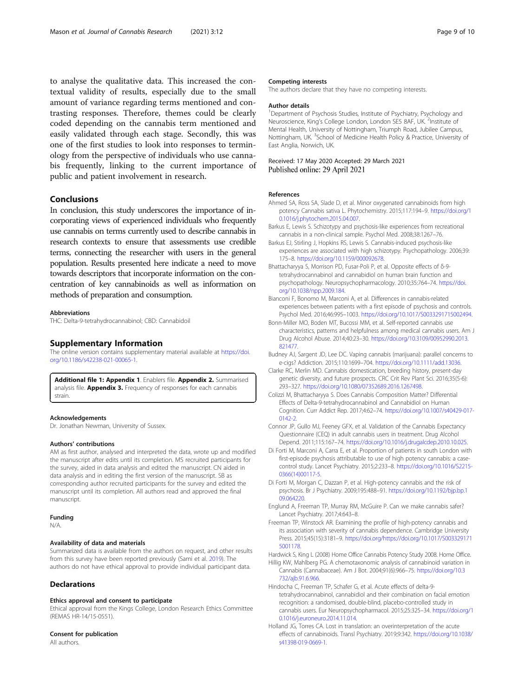<span id="page-8-0"></span>to analyse the qualitative data. This increased the contextual validity of results, especially due to the small amount of variance regarding terms mentioned and contrasting responses. Therefore, themes could be clearly coded depending on the cannabis term mentioned and easily validated through each stage. Secondly, this was one of the first studies to look into responses to terminology from the perspective of individuals who use cannabis frequently, linking to the current importance of public and patient involvement in research.

# Conclusions

In conclusion, this study underscores the importance of incorporating views of experienced individuals who frequently use cannabis on terms currently used to describe cannabis in research contexts to ensure that assessments use credible terms, connecting the researcher with users in the general population. Results presented here indicate a need to move towards descriptors that incorporate information on the concentration of key cannabinoids as well as information on methods of preparation and consumption.

#### Abbreviations

THC: Delta-9-tetrahydrocannabinol; CBD: Cannabidoil

#### Supplementary Information

The online version contains supplementary material available at [https://doi.](https://doi.org/10.1186/s42238-021-00065-1) [org/10.1186/s42238-021-00065-1.](https://doi.org/10.1186/s42238-021-00065-1)

Additional file 1: Appendix 1. Enablers file. Appendix 2. Summarised analysis file. Appendix 3. Frequency of responses for each cannabis strain.

#### Acknowledgements

Dr. Jonathan Newman, University of Sussex.

#### Authors' contributions

AM as first author, analysed and interpreted the data, wrote up and modified the manuscript after edits until its completion. MS recruited participants for the survey, aided in data analysis and edited the manuscript. CN aided in data analysis and in editing the first version of the manuscript. SB as corresponding author recruited participants for the survey and edited the manuscript until its completion. All authors read and approved the final manuscript.

#### Funding

N/A.

#### Availability of data and materials

Summarized data is available from the authors on request, and other results from this survey have been reported previously (Sami et al. [2019\)](#page-9-0). The authors do not have ethical approval to provide individual participant data.

### **Declarations**

#### Ethics approval and consent to participate

Ethical approval from the Kings College, London Research Ethics Committee (REMAS HR-14/15-0551).

#### Consent for publication

All authors.

#### Competing interests

The authors declare that they have no competing interests.

#### Author details

<sup>1</sup>Department of Psychosis Studies, Institute of Psychiatry, Psychology and Neuroscience, King's College London, London SE5 8AF, UK.<sup>2</sup>Institute of Mental Health, University of Nottingham, Triumph Road, Jubilee Campus, Nottingham, UK.<sup>3</sup> School of Medicine Health Policy & Practice, University of East Anglia, Norwich, UK.

#### Received: 17 May 2020 Accepted: 29 March 2021 Published online: 29 April 2021

#### References

- Ahmed SA, Ross SA, Slade D, et al. Minor oxygenated cannabinoids from high potency Cannabis sativa L. Phytochemistry. 2015;117:194–9. [https://doi.org/1](https://doi.org/10.1016/j.phytochem.2015.04.007) [0.1016/j.phytochem.2015.04.007](https://doi.org/10.1016/j.phytochem.2015.04.007).
- Barkus E, Lewis S. Schizotypy and psychosis-like experiences from recreational cannabis in a non-clinical sample. Psychol Med. 2008;38:1267–76.
- Barkus EJ, Stirling J, Hopkins RS, Lewis S. Cannabis-induced psychosis-like experiences are associated with high schizotypy. Psychopathology. 2006;39: 175–8. <https://doi.org/10.1159/000092678>.
- Bhattacharyya S, Morrison PD, Fusar-Poli P, et al. Opposite effects of δ-9 tetrahydrocannabinol and cannabidiol on human brain function and psychopathology. Neuropsychopharmacology. 2010;35:764–74. [https://doi.](https://doi.org/10.1038/npp.2009.184) [org/10.1038/npp.2009.184.](https://doi.org/10.1038/npp.2009.184)
- Bianconi F, Bonomo M, Marconi A, et al. Differences in cannabis-related experiences between patients with a first episode of psychosis and controls. Psychol Med. 2016;46:995–1003. <https://doi.org/10.1017/S0033291715002494>.
- Bonn-Miller MO, Boden MT, Bucossi MM, et al. Self-reported cannabis use characteristics, patterns and helpfulness among medical cannabis users. Am J Drug Alcohol Abuse. 2014;40:23–30. [https://doi.org/10.3109/00952990.2013.](https://doi.org/10.3109/00952990.2013.821477) [821477](https://doi.org/10.3109/00952990.2013.821477).
- Budney AJ, Sargent JD, Lee DC. Vaping cannabis (marijuana): parallel concerns to e-cigs? Addiction. 2015;110:1699–704. <https://doi.org/10.1111/add.13036>.
- Clarke RC, Merlin MD. Cannabis domestication, breeding history, present-day genetic diversity, and future prospects. CRC Crit Rev Plant Sci. 2016;35(5-6): 293–327. <https://doi.org/10.1080/07352689.2016.1267498>.
- Colizzi M, Bhattacharyya S. Does Cannabis Composition Matter? Differential Effects of Delta-9-tetrahydrocannabinol and Cannabidiol on Human Cognition. Curr Addict Rep. 2017;4:62–74. [https://doi.org/10.1007/s40429-017-](https://doi.org/10.1007/s40429-017-0142-2) [0142-2.](https://doi.org/10.1007/s40429-017-0142-2)
- Connor JP, Gullo MJ, Feeney GFX, et al. Validation of the Cannabis Expectancy Questionnaire (CEQ) in adult cannabis users in treatment. Drug Alcohol Depend. 2011;115:167–74. [https://doi.org/10.1016/j.drugalcdep.2010.10.025.](https://doi.org/10.1016/j.drugalcdep.2010.10.025)
- Di Forti M, Marconi A, Carra E, et al. Proportion of patients in south London with first-episode psychosis attributable to use of high potency cannabis: a casecontrol study. Lancet Psychiatry. 2015;2:233–8. [https://doi.org/10.1016/S2215-](https://doi.org/10.1016/S2215-0366(14)00117-5) [0366\(14\)00117-5](https://doi.org/10.1016/S2215-0366(14)00117-5).
- Di Forti M, Morgan C, Dazzan P, et al. High-potency cannabis and the risk of psychosis. Br J Psychiatry. 2009;195:488–91. [https://doi.org/10.1192/bjp.bp.1](https://doi.org/10.1192/bjp.bp.109.064220) [09.064220](https://doi.org/10.1192/bjp.bp.109.064220).
- Englund A, Freeman TP, Murray RM, McGuire P. Can we make cannabis safer? Lancet Psychiatry. 2017;4:643–8.
- Freeman TP, Winstock AR. Examining the profile of high-potency cannabis and its association with severity of cannabis dependence. Cambridge University Press. 2015;45(15):3181–9. [https://doi.org/https://doi.org/10.1017/S003329171](https://doi.org/https://doi.org/10.1017/S0033291715001178.) [5001178.](https://doi.org/https://doi.org/10.1017/S0033291715001178.)

Hardwick S, King L (2008) Home Office Cannabis Potency Study 2008. Home Office. Hillig KW, Mahlberg PG. A chemotaxonomic analysis of cannabinoid variation in Cannabis (Cannabaceae). Am J Bot. 2004;91(6):966–75. [https://doi.org/10.3](https://doi.org/10.3732/ajb.91.6.966)

- [732/ajb.91.6.966.](https://doi.org/10.3732/ajb.91.6.966) Hindocha C, Freeman TP, Schafer G, et al. Acute effects of delta-9 tetrahydrocannabinol, cannabidiol and their combination on facial emotion recognition: a randomised, double-blind, placebo-controlled study in cannabis users. Eur Neuropsychopharmacol. 2015;25:325–34. [https://doi.org/1](https://doi.org/10.1016/j.euroneuro.2014.11.014) [0.1016/j.euroneuro.2014.11.014](https://doi.org/10.1016/j.euroneuro.2014.11.014).
- Holland JG, Torres CA. Lost in translation: an overinterpretation of the acute effects of cannabinoids. Transl Psychiatry. 2019;9:342. [https://doi.org/10.1038/](https://doi.org/10.1038/s41398-019-0669-1.) [s41398-019-0669-1.](https://doi.org/10.1038/s41398-019-0669-1.)